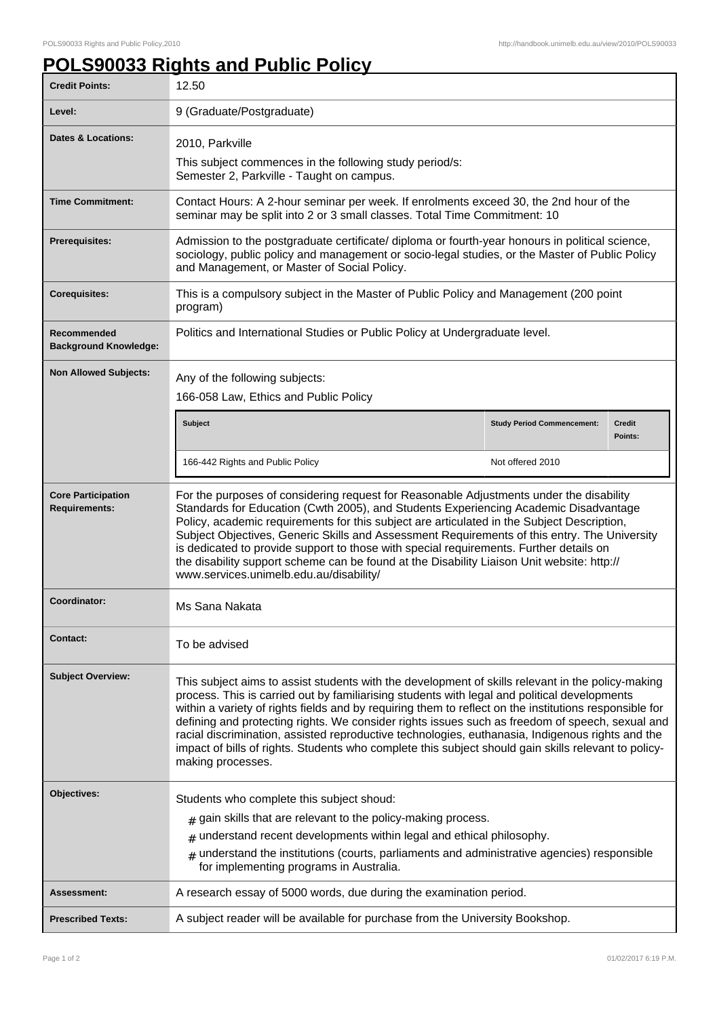## **POLS90033 Rights and Public Policy**

| <b>Credit Points:</b>                             | 12.50                                                                                                                                                                                                                                                                                                                                                                                                                                                                                                                                                                                                                                           |                                   |                          |
|---------------------------------------------------|-------------------------------------------------------------------------------------------------------------------------------------------------------------------------------------------------------------------------------------------------------------------------------------------------------------------------------------------------------------------------------------------------------------------------------------------------------------------------------------------------------------------------------------------------------------------------------------------------------------------------------------------------|-----------------------------------|--------------------------|
| Level:                                            | 9 (Graduate/Postgraduate)                                                                                                                                                                                                                                                                                                                                                                                                                                                                                                                                                                                                                       |                                   |                          |
| <b>Dates &amp; Locations:</b>                     | 2010, Parkville<br>This subject commences in the following study period/s:<br>Semester 2, Parkville - Taught on campus.                                                                                                                                                                                                                                                                                                                                                                                                                                                                                                                         |                                   |                          |
| <b>Time Commitment:</b>                           | Contact Hours: A 2-hour seminar per week. If enrolments exceed 30, the 2nd hour of the<br>seminar may be split into 2 or 3 small classes. Total Time Commitment: 10                                                                                                                                                                                                                                                                                                                                                                                                                                                                             |                                   |                          |
| <b>Prerequisites:</b>                             | Admission to the postgraduate certificate/ diploma or fourth-year honours in political science,<br>sociology, public policy and management or socio-legal studies, or the Master of Public Policy<br>and Management, or Master of Social Policy.                                                                                                                                                                                                                                                                                                                                                                                                |                                   |                          |
| <b>Corequisites:</b>                              | This is a compulsory subject in the Master of Public Policy and Management (200 point<br>program)                                                                                                                                                                                                                                                                                                                                                                                                                                                                                                                                               |                                   |                          |
| Recommended<br><b>Background Knowledge:</b>       | Politics and International Studies or Public Policy at Undergraduate level.                                                                                                                                                                                                                                                                                                                                                                                                                                                                                                                                                                     |                                   |                          |
| <b>Non Allowed Subjects:</b>                      | Any of the following subjects:<br>166-058 Law, Ethics and Public Policy                                                                                                                                                                                                                                                                                                                                                                                                                                                                                                                                                                         |                                   |                          |
|                                                   | <b>Subject</b>                                                                                                                                                                                                                                                                                                                                                                                                                                                                                                                                                                                                                                  | <b>Study Period Commencement:</b> | <b>Credit</b><br>Points: |
|                                                   | 166-442 Rights and Public Policy                                                                                                                                                                                                                                                                                                                                                                                                                                                                                                                                                                                                                | Not offered 2010                  |                          |
| <b>Core Participation</b><br><b>Requirements:</b> | For the purposes of considering request for Reasonable Adjustments under the disability<br>Standards for Education (Cwth 2005), and Students Experiencing Academic Disadvantage<br>Policy, academic requirements for this subject are articulated in the Subject Description,<br>Subject Objectives, Generic Skills and Assessment Requirements of this entry. The University<br>is dedicated to provide support to those with special requirements. Further details on<br>the disability support scheme can be found at the Disability Liaison Unit website: http://<br>www.services.unimelb.edu.au/disability/                                |                                   |                          |
| Coordinator:                                      | Ms Sana Nakata                                                                                                                                                                                                                                                                                                                                                                                                                                                                                                                                                                                                                                  |                                   |                          |
| <b>Contact:</b>                                   | To be advised                                                                                                                                                                                                                                                                                                                                                                                                                                                                                                                                                                                                                                   |                                   |                          |
| <b>Subject Overview:</b>                          | This subject aims to assist students with the development of skills relevant in the policy-making<br>process. This is carried out by familiarising students with legal and political developments<br>within a variety of rights fields and by requiring them to reflect on the institutions responsible for<br>defining and protecting rights. We consider rights issues such as freedom of speech, sexual and<br>racial discrimination, assisted reproductive technologies, euthanasia, Indigenous rights and the<br>impact of bills of rights. Students who complete this subject should gain skills relevant to policy-<br>making processes. |                                   |                          |
| Objectives:                                       | Students who complete this subject shoud:<br>$#$ gain skills that are relevant to the policy-making process.<br>$#$ understand recent developments within legal and ethical philosophy.<br>$#$ understand the institutions (courts, parliaments and administrative agencies) responsible<br>for implementing programs in Australia.                                                                                                                                                                                                                                                                                                             |                                   |                          |
| Assessment:                                       | A research essay of 5000 words, due during the examination period.                                                                                                                                                                                                                                                                                                                                                                                                                                                                                                                                                                              |                                   |                          |
| <b>Prescribed Texts:</b>                          | A subject reader will be available for purchase from the University Bookshop.                                                                                                                                                                                                                                                                                                                                                                                                                                                                                                                                                                   |                                   |                          |